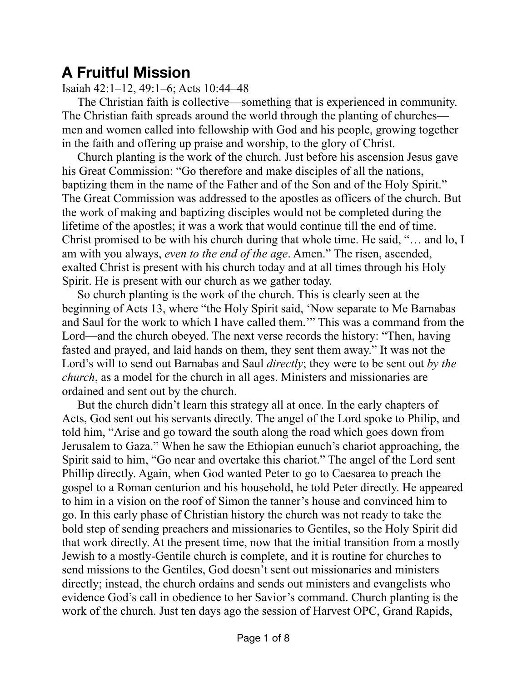# **A Fruitful Mission**

## Isaiah 42:1–12, 49:1–6; Acts 10:44–48

The Christian faith is collective—something that is experienced in community. The Christian faith spreads around the world through the planting of churches men and women called into fellowship with God and his people, growing together in the faith and offering up praise and worship, to the glory of Christ.

Church planting is the work of the church. Just before his ascension Jesus gave his Great Commission: "Go therefore and make disciples of all the nations, baptizing them in the name of the Father and of the Son and of the Holy Spirit." The Great Commission was addressed to the apostles as officers of the church. But the work of making and baptizing disciples would not be completed during the lifetime of the apostles; it was a work that would continue till the end of time. Christ promised to be with his church during that whole time. He said, "… and lo, I am with you always, *even to the end of the age*. Amen." The risen, ascended, exalted Christ is present with his church today and at all times through his Holy Spirit. He is present with our church as we gather today.

So church planting is the work of the church. This is clearly seen at the beginning of Acts 13, where "the Holy Spirit said, 'Now separate to Me Barnabas and Saul for the work to which I have called them.'" This was a command from the Lord—and the church obeyed. The next verse records the history: "Then, having fasted and prayed, and laid hands on them, they sent them away." It was not the Lord's will to send out Barnabas and Saul *directly*; they were to be sent out *by the church*, as a model for the church in all ages. Ministers and missionaries are ordained and sent out by the church.

But the church didn't learn this strategy all at once. In the early chapters of Acts, God sent out his servants directly. The angel of the Lord spoke to Philip, and told him, "Arise and go toward the south along the road which goes down from Jerusalem to Gaza." When he saw the Ethiopian eunuch's chariot approaching, the Spirit said to him, "Go near and overtake this chariot." The angel of the Lord sent Phillip directly. Again, when God wanted Peter to go to Caesarea to preach the gospel to a Roman centurion and his household, he told Peter directly. He appeared to him in a vision on the roof of Simon the tanner's house and convinced him to go. In this early phase of Christian history the church was not ready to take the bold step of sending preachers and missionaries to Gentiles, so the Holy Spirit did that work directly. At the present time, now that the initial transition from a mostly Jewish to a mostly-Gentile church is complete, and it is routine for churches to send missions to the Gentiles, God doesn't sent out missionaries and ministers directly; instead, the church ordains and sends out ministers and evangelists who evidence God's call in obedience to her Savior's command. Church planting is the work of the church. Just ten days ago the session of Harvest OPC, Grand Rapids,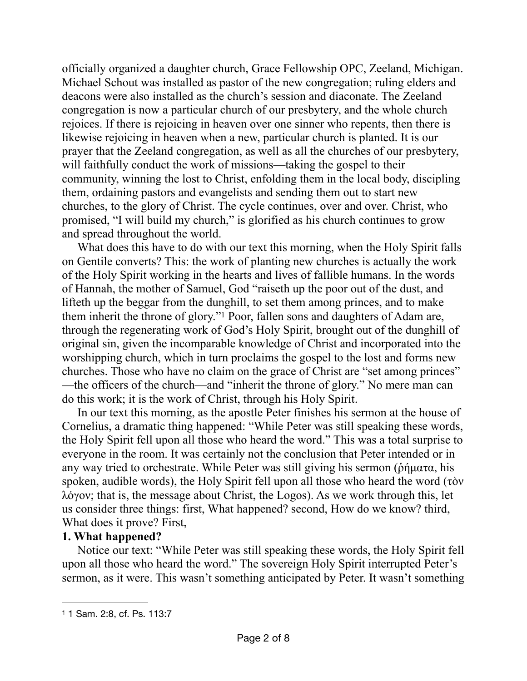officially organized a daughter church, Grace Fellowship OPC, Zeeland, Michigan. Michael Schout was installed as pastor of the new congregation; ruling elders and deacons were also installed as the church's session and diaconate. The Zeeland congregation is now a particular church of our presbytery, and the whole church rejoices. If there is rejoicing in heaven over one sinner who repents, then there is likewise rejoicing in heaven when a new, particular church is planted. It is our prayer that the Zeeland congregation, as well as all the churches of our presbytery, will faithfully conduct the work of missions—taking the gospel to their community, winning the lost to Christ, enfolding them in the local body, discipling them, ordaining pastors and evangelists and sending them out to start new churches, to the glory of Christ. The cycle continues, over and over. Christ, who promised, "I will build my church," is glorified as his church continues to grow and spread throughout the world.

<span id="page-1-1"></span>What does this have to do with our text this morning, when the Holy Spirit falls on Gentile converts? This: the work of planting new churches is actually the work of the Holy Spirit working in the hearts and lives of fallible humans. In the words of Hannah, the mother of Samuel, God "raiseth up the poor out of the dust, and lifteth up the beggar from the dunghill, to set them among princes, and to make theminherit the throne of glory."<sup>[1](#page-1-0)</sup> Poor, fallen sons and daughters of Adam are, through the regenerating work of God's Holy Spirit, brought out of the dunghill of original sin, given the incomparable knowledge of Christ and incorporated into the worshipping church, which in turn proclaims the gospel to the lost and forms new churches. Those who have no claim on the grace of Christ are "set among princes" —the officers of the church—and "inherit the throne of glory." No mere man can do this work; it is the work of Christ, through his Holy Spirit.

In our text this morning, as the apostle Peter finishes his sermon at the house of Cornelius, a dramatic thing happened: "While Peter was still speaking these words, the Holy Spirit fell upon all those who heard the word." This was a total surprise to everyone in the room. It was certainly not the conclusion that Peter intended or in any way tried to orchestrate. While Peter was still giving his sermon (δήματα, his spoken, audible words), the Holy Spirit fell upon all those who heard the word (τὸν λόγον; that is, the message about Christ, the Logos). As we work through this, let us consider three things: first, What happened? second, How do we know? third, What does it prove? First,

### **1. What happened?**

Notice our text: "While Peter was still speaking these words, the Holy Spirit fell upon all those who heard the word." The sovereign Holy Spirit interrupted Peter's sermon, as it were. This wasn't something anticipated by Peter. It wasn't something

<span id="page-1-0"></span>[<sup>1</sup>](#page-1-1) 1 Sam. 2:8, cf. Ps. 113:7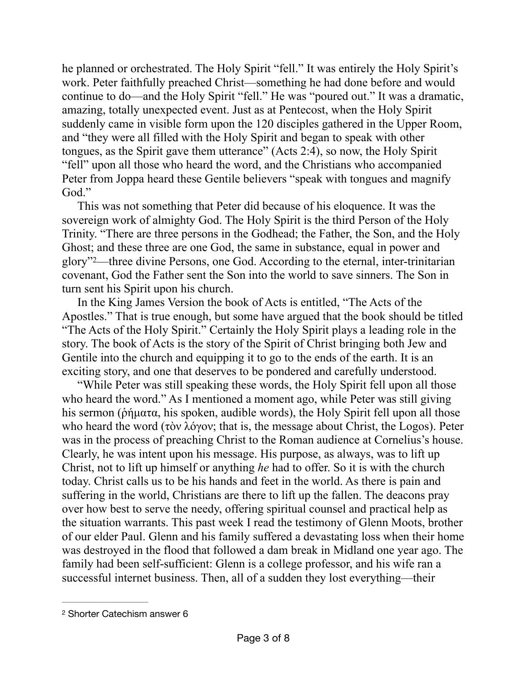he planned or orchestrated. The Holy Spirit "fell." It was entirely the Holy Spirit's work. Peter faithfully preached Christ—something he had done before and would continue to do—and the Holy Spirit "fell." He was "poured out." It was a dramatic, amazing, totally unexpected event. Just as at Pentecost, when the Holy Spirit suddenly came in visible form upon the 120 disciples gathered in the Upper Room, and "they were all filled with the Holy Spirit and began to speak with other tongues, as the Spirit gave them utterance" (Acts 2:4), so now, the Holy Spirit "fell" upon all those who heard the word, and the Christians who accompanied Peter from Joppa heard these Gentile believers "speak with tongues and magnify God."

This was not something that Peter did because of his eloquence. It was the sovereign work of almighty God. The Holy Spirit is the third Person of the Holy Trinity. "There are three persons in the Godhead; the Father, the Son, and the Holy Ghost; and these three are one God, the same in substance, equal in power and glory" [2](#page-2-0)—three divine Persons, one God. According to the eternal, inter-trinitarian covenant, God the Father sent the Son into the world to save sinners. The Son in turn sent his Spirit upon his church.

<span id="page-2-1"></span>In the King James Version the book of Acts is entitled, "The Acts of the Apostles." That is true enough, but some have argued that the book should be titled "The Acts of the Holy Spirit." Certainly the Holy Spirit plays a leading role in the story. The book of Acts is the story of the Spirit of Christ bringing both Jew and Gentile into the church and equipping it to go to the ends of the earth. It is an exciting story, and one that deserves to be pondered and carefully understood.

"While Peter was still speaking these words, the Holy Spirit fell upon all those who heard the word." As I mentioned a moment ago, while Peter was still giving his sermon (δήματα, his spoken, audible words), the Holy Spirit fell upon all those who heard the word (τὸν λόγον; that is, the message about Christ, the Logos). Peter was in the process of preaching Christ to the Roman audience at Cornelius's house. Clearly, he was intent upon his message. His purpose, as always, was to lift up Christ, not to lift up himself or anything *he* had to offer. So it is with the church today. Christ calls us to be his hands and feet in the world. As there is pain and suffering in the world, Christians are there to lift up the fallen. The deacons pray over how best to serve the needy, offering spiritual counsel and practical help as the situation warrants. This past week I read the testimony of Glenn Moots, brother of our elder Paul. Glenn and his family suffered a devastating loss when their home was destroyed in the flood that followed a dam break in Midland one year ago. The family had been self-sufficient: Glenn is a college professor, and his wife ran a successful internet business. Then, all of a sudden they lost everything—their

<span id="page-2-0"></span>[<sup>2</sup>](#page-2-1) Shorter Catechism answer 6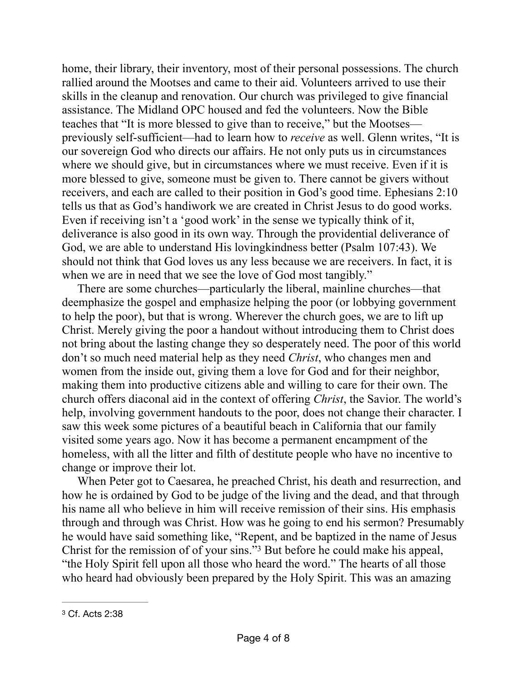home, their library, their inventory, most of their personal possessions. The church rallied around the Mootses and came to their aid. Volunteers arrived to use their skills in the cleanup and renovation. Our church was privileged to give financial assistance. The Midland OPC housed and fed the volunteers. Now the Bible teaches that "It is more blessed to give than to receive," but the Mootses previously self-sufficient—had to learn how to *receive* as well. Glenn writes, "It is our sovereign God who directs our affairs. He not only puts us in circumstances where we should give, but in circumstances where we must receive. Even if it is more blessed to give, someone must be given to. There cannot be givers without receivers, and each are called to their position in God's good time. Ephesians 2:10 tells us that as God's handiwork we are created in Christ Jesus to do good works. Even if receiving isn't a 'good work' in the sense we typically think of it, deliverance is also good in its own way. Through the providential deliverance of God, we are able to understand His lovingkindness better (Psalm 107:43). We should not think that God loves us any less because we are receivers. In fact, it is when we are in need that we see the love of God most tangibly."

There are some churches—particularly the liberal, mainline churches—that deemphasize the gospel and emphasize helping the poor (or lobbying government to help the poor), but that is wrong. Wherever the church goes, we are to lift up Christ. Merely giving the poor a handout without introducing them to Christ does not bring about the lasting change they so desperately need. The poor of this world don't so much need material help as they need *Christ*, who changes men and women from the inside out, giving them a love for God and for their neighbor, making them into productive citizens able and willing to care for their own. The church offers diaconal aid in the context of offering *Christ*, the Savior. The world's help, involving government handouts to the poor, does not change their character. I saw this week some pictures of a beautiful beach in California that our family visited some years ago. Now it has become a permanent encampment of the homeless, with all the litter and filth of destitute people who have no incentive to change or improve their lot.

When Peter got to Caesarea, he preached Christ, his death and resurrection, and how he is ordained by God to be judge of the living and the dead, and that through his name all who believe in him will receive remission of their sins. His emphasis through and through was Christ. How was he going to end his sermon? Presumably he would have said something like, "Repent, and be baptized in the name of Jesus Christ for the remission of of your sins."<sup>[3](#page-3-0)</sup> But before he could make his appeal, "the Holy Spirit fell upon all those who heard the word." The hearts of all those who heard had obviously been prepared by the Holy Spirit. This was an amazing

<span id="page-3-1"></span><span id="page-3-0"></span>[<sup>3</sup>](#page-3-1) Cf. Acts 2:38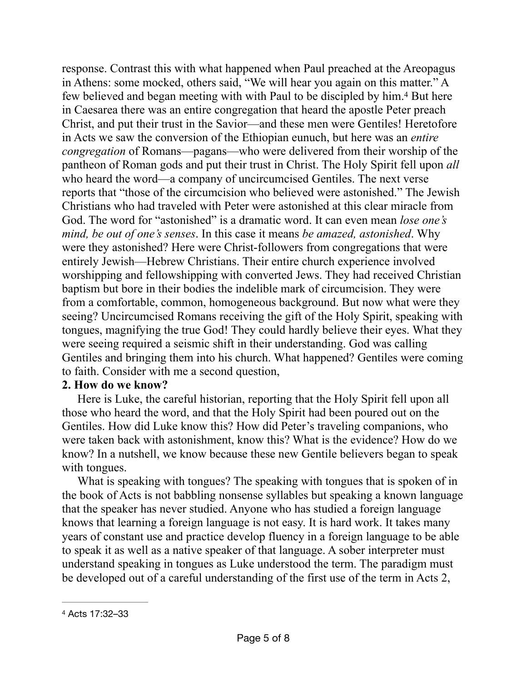<span id="page-4-1"></span>response. Contrast this with what happened when Paul preached at the Areopagus in Athens: some mocked, others said, "We will hear you again on this matter." A few believed and began meeting with with Paul to be discipled by him.<sup>[4](#page-4-0)</sup> But here in Caesarea there was an entire congregation that heard the apostle Peter preach Christ, and put their trust in the Savior—and these men were Gentiles! Heretofore in Acts we saw the conversion of the Ethiopian eunuch, but here was an *entire congregation* of Romans—pagans—who were delivered from their worship of the pantheon of Roman gods and put their trust in Christ. The Holy Spirit fell upon *all* who heard the word—a company of uncircumcised Gentiles. The next verse reports that "those of the circumcision who believed were astonished." The Jewish Christians who had traveled with Peter were astonished at this clear miracle from God. The word for "astonished" is a dramatic word. It can even mean *lose one's mind, be out of one's senses*. In this case it means *be amazed, astonished*. Why were they astonished? Here were Christ-followers from congregations that were entirely Jewish—Hebrew Christians. Their entire church experience involved worshipping and fellowshipping with converted Jews. They had received Christian baptism but bore in their bodies the indelible mark of circumcision. They were from a comfortable, common, homogeneous background. But now what were they seeing? Uncircumcised Romans receiving the gift of the Holy Spirit, speaking with tongues, magnifying the true God! They could hardly believe their eyes. What they were seeing required a seismic shift in their understanding. God was calling Gentiles and bringing them into his church. What happened? Gentiles were coming to faith. Consider with me a second question,

#### **2. How do we know?**

Here is Luke, the careful historian, reporting that the Holy Spirit fell upon all those who heard the word, and that the Holy Spirit had been poured out on the Gentiles. How did Luke know this? How did Peter's traveling companions, who were taken back with astonishment, know this? What is the evidence? How do we know? In a nutshell, we know because these new Gentile believers began to speak with tongues.

What is speaking with tongues? The speaking with tongues that is spoken of in the book of Acts is not babbling nonsense syllables but speaking a known language that the speaker has never studied. Anyone who has studied a foreign language knows that learning a foreign language is not easy. It is hard work. It takes many years of constant use and practice develop fluency in a foreign language to be able to speak it as well as a native speaker of that language. A sober interpreter must understand speaking in tongues as Luke understood the term. The paradigm must be developed out of a careful understanding of the first use of the term in Acts 2,

<span id="page-4-0"></span>[<sup>4</sup>](#page-4-1) Acts 17:32–33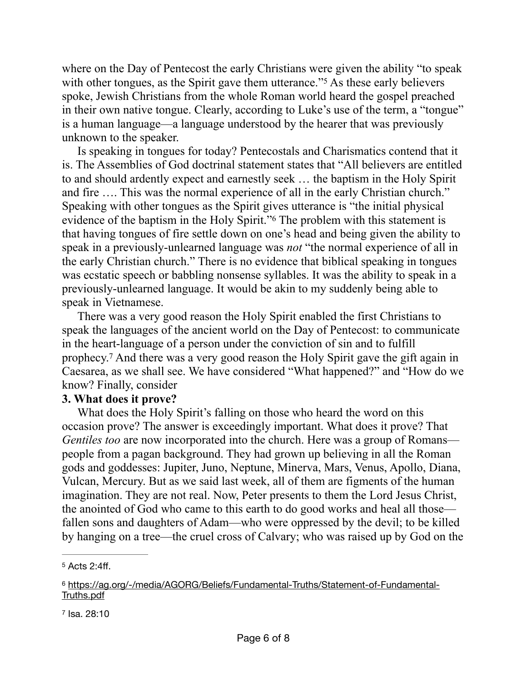<span id="page-5-3"></span>where on the Day of Pentecost the early Christians were given the ability "to speak" with other tongues, as the Spirit gave them utterance."<sup>[5](#page-5-0)</sup> As these early believers spoke, Jewish Christians from the whole Roman world heard the gospel preached in their own native tongue. Clearly, according to Luke's use of the term, a "tongue" is a human language—a language understood by the hearer that was previously unknown to the speaker.

<span id="page-5-4"></span>Is speaking in tongues for today? Pentecostals and Charismatics contend that it is. The Assemblies of God doctrinal statement states that "All believers are entitled to and should ardently expect and earnestly seek … the baptism in the Holy Spirit and fire …. This was the normal experience of all in the early Christian church." Speaking with other tongues as the Spirit gives utterance is "the initial physical evidence of the baptism in the Holy Spirit."<sup>[6](#page-5-1)</sup> The problem with this statement is that having tongues of fire settle down on one's head and being given the ability to speak in a previously-unlearned language was *not* "the normal experience of all in the early Christian church." There is no evidence that biblical speaking in tongues was ecstatic speech or babbling nonsense syllables. It was the ability to speak in a previously-unlearned language. It would be akin to my suddenly being able to speak in Vietnamese.

<span id="page-5-5"></span>There was a very good reason the Holy Spirit enabled the first Christians to speak the languages of the ancient world on the Day of Pentecost: to communicate in the heart-language of a person under the conviction of sin and to fulfill prophecy.<sup>[7](#page-5-2)</sup> And there was a very good reason the Holy Spirit gave the gift again in Caesarea, as we shall see. We have considered "What happened?" and "How do we know? Finally, consider

### **3. What does it prove?**

What does the Holy Spirit's falling on those who heard the word on this occasion prove? The answer is exceedingly important. What does it prove? That *Gentiles too* are now incorporated into the church. Here was a group of Romans people from a pagan background. They had grown up believing in all the Roman gods and goddesses: Jupiter, Juno, Neptune, Minerva, Mars, Venus, Apollo, Diana, Vulcan, Mercury. But as we said last week, all of them are figments of the human imagination. They are not real. Now, Peter presents to them the Lord Jesus Christ, the anointed of God who came to this earth to do good works and heal all those fallen sons and daughters of Adam—who were oppressed by the devil; to be killed by hanging on a tree—the cruel cross of Calvary; who was raised up by God on the

<span id="page-5-2"></span>[7](#page-5-5) Isa. 28:10

<span id="page-5-0"></span> $5$  Acts 2:4ff.

<span id="page-5-1"></span>[https://ag.org/-/media/AGORG/Beliefs/Fundamental-Truths/Statement-of-Fundamental-](https://ag.org/-/media/AGORG/Beliefs/Fundamental-Truths/Statement-of-Fundamental-Truths.pdf) [6](#page-5-4) [Truths.pdf](https://ag.org/-/media/AGORG/Beliefs/Fundamental-Truths/Statement-of-Fundamental-Truths.pdf)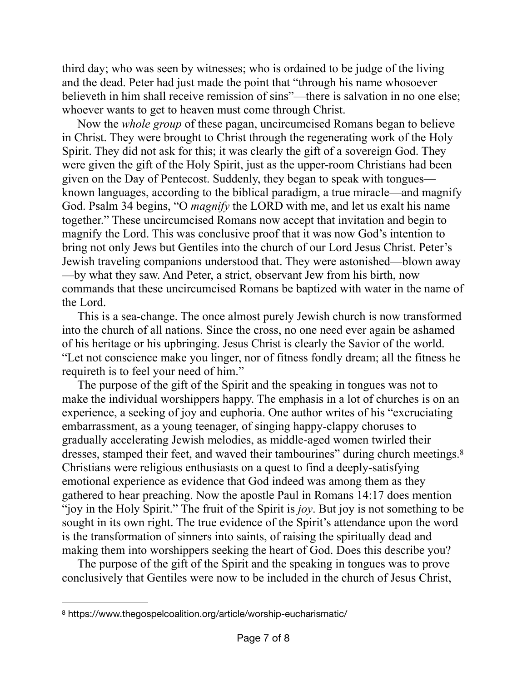third day; who was seen by witnesses; who is ordained to be judge of the living and the dead. Peter had just made the point that "through his name whosoever believeth in him shall receive remission of sins"—there is salvation in no one else; whoever wants to get to heaven must come through Christ.

Now the *whole group* of these pagan, uncircumcised Romans began to believe in Christ. They were brought to Christ through the regenerating work of the Holy Spirit. They did not ask for this; it was clearly the gift of a sovereign God. They were given the gift of the Holy Spirit, just as the upper-room Christians had been given on the Day of Pentecost. Suddenly, they began to speak with tongues known languages, according to the biblical paradigm, a true miracle—and magnify God. Psalm 34 begins, "O *magnify* the LORD with me, and let us exalt his name together." These uncircumcised Romans now accept that invitation and begin to magnify the Lord. This was conclusive proof that it was now God's intention to bring not only Jews but Gentiles into the church of our Lord Jesus Christ. Peter's Jewish traveling companions understood that. They were astonished—blown away —by what they saw. And Peter, a strict, observant Jew from his birth, now commands that these uncircumcised Romans be baptized with water in the name of the Lord.

This is a sea-change. The once almost purely Jewish church is now transformed into the church of all nations. Since the cross, no one need ever again be ashamed of his heritage or his upbringing. Jesus Christ is clearly the Savior of the world. "Let not conscience make you linger, nor of fitness fondly dream; all the fitness he requireth is to feel your need of him."

<span id="page-6-1"></span>The purpose of the gift of the Spirit and the speaking in tongues was not to make the individual worshippers happy. The emphasis in a lot of churches is on an experience, a seeking of joy and euphoria. One author writes of his "excruciating embarrassment, as a young teenager, of singing happy-clappy choruses to gradually accelerating Jewish melodies, as middle-aged women twirled their dresses, stamped their feet, and waved their tambourines" during church meetings[.8](#page-6-0) Christians were religious enthusiasts on a quest to find a deeply-satisfying emotional experience as evidence that God indeed was among them as they gathered to hear preaching. Now the apostle Paul in Romans 14:17 does mention "joy in the Holy Spirit." The fruit of the Spirit is *joy*. But joy is not something to be sought in its own right. The true evidence of the Spirit's attendance upon the word is the transformation of sinners into saints, of raising the spiritually dead and making them into worshippers seeking the heart of God. Does this describe you?

The purpose of the gift of the Spirit and the speaking in tongues was to prove conclusively that Gentiles were now to be included in the church of Jesus Christ,

<span id="page-6-0"></span>https://www.thegospelcoalition.org/article/worship-eucharismatic/ [8](#page-6-1)